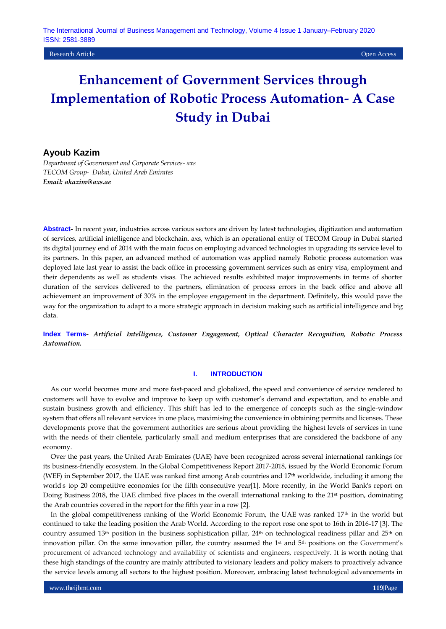Research Article Open Access

# **Enhancement of Government Services through Implementation of Robotic Process Automation- A Case Study in Dubai**

# **Ayoub Kazim**

*Department of Government and Corporate Services- axs TECOM Group- Dubai, United Arab Emirates Email: akazim@axs.ae*

**Abstract***-* In recent year, industries across various sectors are driven by latest technologies, digitization and automation of services, artificial intelligence and blockchain. axs, which is an operational entity of TECOM Group in Dubai started its digital journey end of 2014 with the main focus on employing advanced technologies in upgrading its service level to its partners. In this paper, an advanced method of automation was applied namely Robotic process automation was deployed late last year to assist the back office in processing government services such as entry visa, employment and their dependents as well as students visas. The achieved results exhibited major improvements in terms of shorter duration of the services delivered to the partners, elimination of process errors in the back office and above all achievement an improvement of 30% in the employee engagement in the department. Definitely, this would pave the way for the organization to adapt to a more strategic approach in decision making such as artificial intelligence and big data.

**Index Terms-** *Artificial Intelligence, Customer Engagement, Optical Character Recognition, Robotic Process Automation.*

# **I. INTRODUCTION**

As our world becomes more and more fast-paced and globalized, the speed and convenience of service rendered to customers will have to evolve and improve to keep up with customer's demand and expectation, and to enable and sustain business growth and efficiency. This shift has led to the emergence of concepts such as the single-window system that offers all relevant services in one place, maximising the convenience in obtaining permits and licenses. These developments prove that the government authorities are serious about providing the highest levels of services in tune with the needs of their clientele, particularly small and medium enterprises that are considered the backbone of any economy.

Over the past years, the United Arab Emirates (UAE) have been recognized across several international rankings for its business-friendly ecosystem. In the Global Competitiveness Report 2017-2018, issued by the World Economic Forum (WEF) in September 2017, the UAE was ranked first among Arab countries and 17th worldwide, including it among the world's top 20 competitive economies for the fifth consecutive year[1]. More recently, in the World Bank's report on Doing Business 2018, the UAE climbed five places in the overall international ranking to the 21<sup>st</sup> position, dominating the Arab countries covered in the report for the fifth year in a row [2].

In the global competitiveness ranking of the World Economic Forum, the UAE was ranked 17<sup>th</sup> in the world but continued to take the leading position the Arab World. According to the report rose one spot to 16th in 2016-17 [3]. The country assumed 13<sup>th</sup> position in the business sophistication pillar,  $24<sup>th</sup>$  on technological readiness pillar and  $25<sup>th</sup>$  on innovation pillar. On the same innovation pillar, the country assumed the 1<sup>st</sup> and 5<sup>th</sup> positions on the Government's procurement of advanced technology and availability of scientists and engineers, respectively. It is worth noting that these high standings of the country are mainly attributed to visionary leaders and policy makers to proactively advance the service levels among all sectors to the highest position. Moreover, embracing latest technological advancements in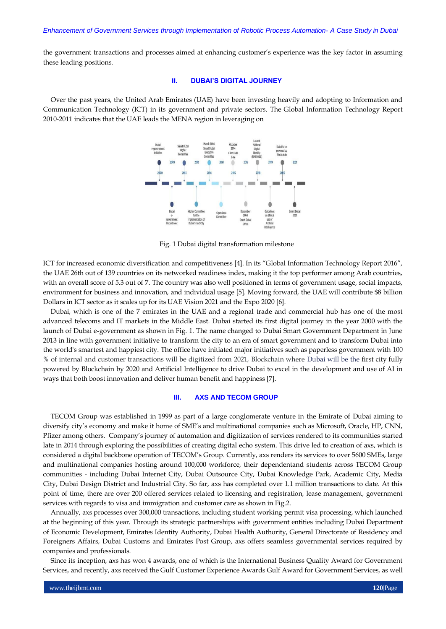the government transactions and processes aimed at enhancing customer's experience was the key factor in assuming these leading positions.

## **II. DUBAI'S DIGITAL JOURNEY**

Over the past years, the United Arab Emirates (UAE) have been investing heavily and adopting to Information and Communication Technology (ICT) in its government and private sectors. The Global Information Technology Report 2010-2011 indicates that the UAE leads the MENA region in leveraging on



Fig. 1 Dubai digital transformation milestone

ICT for increased economic diversification and competitiveness [4]. In its "Global Information Technology Report 2016", the UAE 26th out of 139 countries on its networked readiness index, making it the top performer among Arab countries, with an overall score of 5.3 out of 7. The country was also well positioned in terms of government usage, social impacts, environment for business and innovation, and individual usage [5]. Moving forward, the UAE will contribute \$8 billion Dollars in ICT sector as it scales up for its UAE Vision 2021 and the Expo 2020 [6].

Dubai, which is one of the 7 emirates in the UAE and a regional trade and commercial hub has one of the most advanced telecoms and IT markets in the Middle East. Dubai started its first digital journey in the year 2000 with the launch of Dubai e-government as shown in Fig. 1. The name changed to Dubai Smart Government Department in June 2013 in line with government initiative to transform the city to an era of smart government and to transform Dubai into the world's smartest and happiest city. The office have initiated major initiatives such as paperless government with 100 % of internal and customer transactions will be digitized from 2021, Blockchain where Dubai will be the first city fully powered by Blockchain by 2020 and Artificial Intelligence to drive Dubai to excel in the development and use of AI in ways that both boost innovation and deliver human benefit and happiness [7].

## **III. AXS AND TECOM GROUP**

TECOM Group was established in 1999 as part of a large conglomerate venture in the Emirate of Dubai aiming to diversify city's economy and make it home of SME's and multinational companies such as Microsoft, Oracle, HP, CNN, Pfizer among others. Company's journey of automation and digitization of services rendered to its communities started late in 2014 through exploring the possibilities of creating digital echo system. This drive led to creation of axs, which is considered a digital backbone operation of TECOM's Group. Currently, axs renders its services to over 5600 SMEs, large and multinational companies hosting around 100,000 workforce, their dependentand students across TECOM Group communities - including Dubai Internet City, Dubai Outsource City, Dubai Knowledge Park, Academic City, Media City, Dubai Design District and Industrial City. So far, axs has completed over 1.1 million transactions to date. At this point of time, there are over 200 offered services related to licensing and registration, lease management, government services with regards to visa and immigration and customer care as shown in Fig.2.

Annually, axs processes over 300,000 transactions, including student working permit visa processing, which launched at the beginning of this year. Through its strategic partnerships with government entities including Dubai Department of Economic Development, Emirates Identity Authority, Dubai Health Authority, General Directorate of Residency and Foreigners Affairs, Dubai Customs and Emirates Post Group, axs offers seamless governmental services required by companies and professionals.

Since its inception, axs has won 4 awards, one of which is the International Business Quality Award for Government Services, and recently, axs received the Gulf Customer Experience Awards Gulf Award for Government Services, as well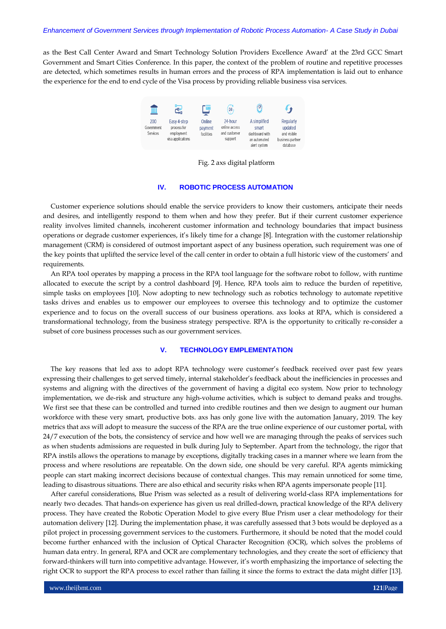#### *Enhancement of Government Services through Implementation of Robotic Process Automation- A Case Study in Dubai*

as the Best Call Center Award and Smart Technology Solution Providers Excellence Award' at the 23rd GCC Smart Government and Smart Cities Conference. In this paper, the context of the problem of routine and repetitive processes are detected, which sometimes results in human errors and the process of RPA implementation is laid out to enhance the experience for the end to end cycle of the Visa process by providing reliable business visa services.



Fig. 2 axs digital platform

# **IV. ROBOTIC PROCESS AUTOMATION**

Customer experience solutions should enable the service providers to know their customers, anticipate their needs and desires, and intelligently respond to them when and how they prefer. But if their current customer experience reality involves limited channels, incoherent customer information and technology boundaries that impact business operations or degrade customer experiences, it's likely time for a change [8]. Integration with the customer relationship management (CRM) is considered of outmost important aspect of any business operation, such requirement was one of the key points that uplifted the service level of the call center in order to obtain a full historic view of the customers' and requirements.

An RPA tool operates by mapping a process in the RPA tool language for the software robot to follow, with runtime allocated to execute the script by a control dashboard [9]. Hence, RPA tools aim to reduce the burden of repetitive, simple tasks on employees [10]. Now adopting to new technology such as robotics technology to automate repetitive tasks drives and enables us to empower our employees to oversee this technology and to optimize the customer experience and to focus on the overall success of our business operations. axs looks at RPA, which is considered a transformational technology, from the business strategy perspective. RPA is the opportunity to critically re-consider a subset of core business processes such as our government services.

### **V. TECHNOLOGY EMPLEMENTATION**

The key reasons that led axs to adopt RPA technology were customer's feedback received over past few years expressing their challenges to get served timely, internal stakeholder's feedback about the inefficiencies in processes and systems and aligning with the directives of the government of having a digital eco system. Now prior to technology implementation, we de-risk and structure any high-volume activities, which is subject to demand peaks and troughs. We first see that these can be controlled and turned into credible routines and then we design to augment our human workforce with these very smart, productive bots. axs has only gone live with the automation January, 2019. The key metrics that axs will adopt to measure the success of the RPA are the true online experience of our customer portal, with 24/7 execution of the bots, the consistency of service and how well we are managing through the peaks of services such as when students admissions are requested in bulk during July to September. Apart from the technology, the rigor that RPA instils allows the operations to manage by exceptions, digitally tracking cases in a manner where we learn from the process and where resolutions are repeatable. On the down side, one should be very careful. RPA agents mimicking people can start making incorrect decisions because of contextual changes. This may remain unnoticed for some time, leading to disastrous situations. There are also ethical and security risks when RPA agents impersonate people [11].

After careful considerations, Blue Prism was selected as a result of delivering world-class RPA implementations for nearly two decades. That hands-on experience has given us real drilled-down, practical knowledge of the RPA delivery process. They have created the Robotic Operation Model to give every Blue Prism user a clear methodology for their automation delivery [12]. During the implementation phase, it was carefully assessed that 3 bots would be deployed as a pilot project in processing government services to the customers. Furthermore, it should be noted that the model could become further enhanced with the inclusion of Optical Character Recognition (OCR), which solves the problems of human data entry. In general, RPA and OCR are complementary technologies, and they create the sort of efficiency that forward-thinkers will turn int[o competitive advantage](https://mypaperlessfax.com/rethinking-fax-1/). However, it's worth emphasizing the importance of selecting the right OCR to support the RPA process to excel rather than failing it since the forms to extract the data might differ [13].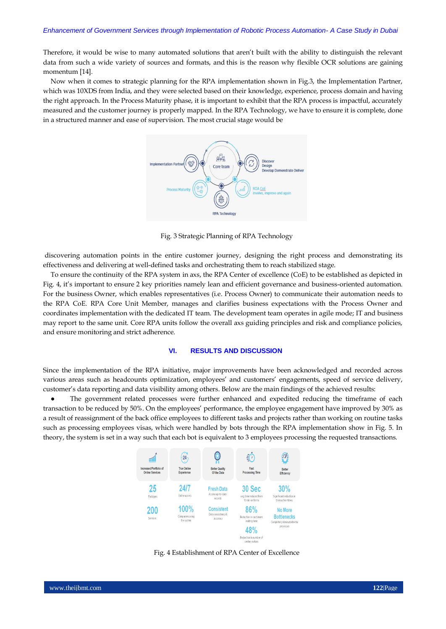Therefore, it would be wise to many automated solutions that aren't built with the ability to distinguish the relevant data from such a wide variety of sources and formats, and this is the reason why flexible OCR solutions are gaining momentum [14].

Now when it comes to strategic planning for the RPA implementation shown in Fig.3, the Implementation Partner, which was 10XDS from India, and they were selected based on their knowledge, experience, process domain and having the right approach. In the Process Maturity phase, it is important to exhibit that the RPA process is impactful, accurately measured and the customer journey is properly mapped. In the RPA Technology, we have to ensure it is complete, done in a structured manner and ease of supervision. The most crucial stage would be



Fig. 3 Strategic Planning of RPA Technology

discovering automation points in the entire customer journey, designing the right process and demonstrating its effectiveness and delivering at well-defined tasks and orchestrating them to reach stabilized stage.

To ensure the continuity of the RPA system in axs, the RPA Center of excellence (CoE) to be established as depicted in Fig. 4, it's important to ensure 2 key priorities namely lean and efficient governance and business-oriented automation. For the business Owner, which enables representatives (i.e. Process Owner) to communicate their automation needs to the RPA CoE. RPA Core Unit Member, manages and clarifies business expectations with the Process Owner and coordinates implementation with the dedicated IT team. The development team operates in agile mode; IT and business may report to the same unit. Core RPA units follow the overall axs guiding principles and risk and compliance policies, and ensure monitoring and strict adherence.

## **VI. RESULTS AND DISCUSSION**

Since the implementation of the RPA initiative, major improvements have been acknowledged and recorded across various areas such as headcounts optimization, employees' and customers' engagements, speed of service delivery, customer's data reporting and data visibility among others. Below are the main findings of the achieved results:

The government related processes were further enhanced and expedited reducing the timeframe of each transaction to be reduced by 50%. On the employees' performance, the employee engagement have improved by 30% as a result of reassignment of the back office employees to different tasks and projects rather than working on routine tasks such as processing employees visas, which were handled by bots through the RPA implementation show in Fig. 5. In theory, the system is set in a way such that each bot is equivalent to 3 employees processing the requested transactions.



Fig. 4 Establishment of RPA Center of Excellence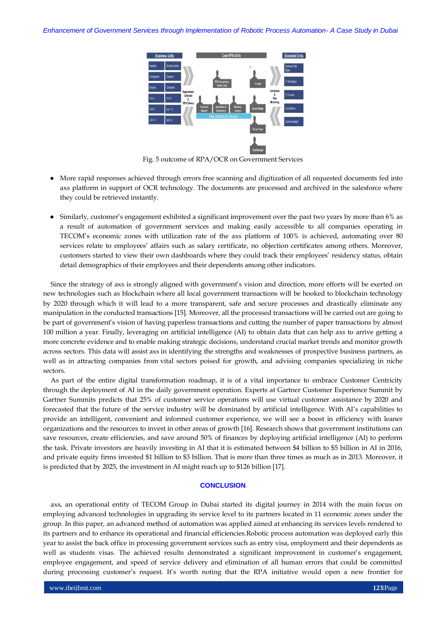

Fig. 5 outcome of RPA/OCR on Government Services

- More rapid responses achieved through errors free scanning and digitization of all requested documents fed into axs platform in support of OCR technology. The documents are processed and archived in the salesforce where they could be retrieved instantly.
- Similarly, customer's engagement exhibited a significant improvement over the past two years by more than 6% as a result of automation of government services and making easily accessible to all companies operating in TECOM's economic zones with utilization rate of the axs platform of 100% is achieved, automating over 80 services relate to employees' affairs such as salary certificate, no objection certificates among others. Moreover, customers started to view their own dashboards where they could track their employees' residency status, obtain detail demographics of their employees and their dependents among other indicators.

Since the strategy of axs is strongly aligned with government's vision and direction, more efforts will be exerted on new technologies such as blockchain where all local government transactions will be hooked to blockchain technology by 2020 through which it will lead to a more transparent, safe and secure processes and drastically eliminate any manipulation in the conducted transactions [15]. Moreover, all the processed transactions will be carried out are going to be part of government's vision of having paperless transactions and cutting the number of paper transactions by almost 100 million a year. Finally, leveraging on artificial intelligence (AI) to obtain data that can help axs to arrive getting a more concrete evidence and to enable making strategic decisions, understand crucial market trends and monitor growth across sectors. This data will assist axs in identifying the strengths and weaknesses of prospective business partners, as well as in attracting companies from vital sectors poised for growth, and advising companies specializing in niche sectors.

As part of the entire digital transformation roadmap, it is of a vital importance to embrace Customer Centricity through the deployment of AI in the daily government operation. Experts at Gartner Customer Experience Summit by Gartner Summits predicts that 25% of customer service operations will use virtual customer assistance by 2020 and forecasted that the future of the service industry will be dominated by artificial intelligence. With AI's capabilities to provide an intelligent, convenient and informed customer experience, we will see a boost in efficiency with leaner organizations and the resources to invest in other areas of growth [16]. Research shows that government institutions can save resources, create efficiencies, and save around 50% of finances by deploying artificial intelligence (AI) to perform the task. Private investors are heavily investing in AI that it is estimated between \$4 billion to \$5 billion in AI in 2016, and private equity firms invested \$1 billion to \$3 billion. That is more than three times as much as in 2013. Moreover, it is predicted that by 2025, the investment in AI might reach up to \$126 billion [17].

# **CONCLUSION**

axs, an operational entity of TECOM Group in Dubai started its digital journey in 2014 with the main focus on employing advanced technologies in upgrading its service level to its partners located in 11 economic zones under the group. In this paper, an advanced method of automation was applied aimed at enhancing its services levels rendered to its partners and to enhance its operational and financial efficiencies.Robotic process automation was deployed early this year to assist the back office in processing government services such as entry visa, employment and their dependents as well as students visas. The achieved results demonstrated a significant improvement in customer's engagement, employee engagement, and speed of service delivery and elimination of all human errors that could be committed during processing customer's request. It's worth noting that the RPA initiative would open a new frontier for